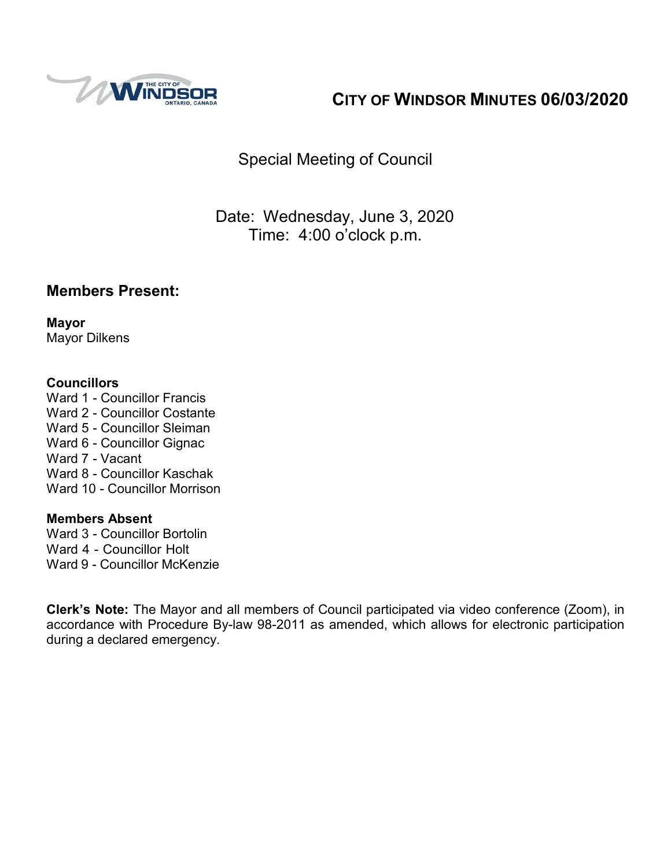

# **CITY OF WINDSOR MINUTES 06/03/2020**

Special Meeting of Council

Date: Wednesday, June 3, 2020 Time: 4:00 o'clock p.m.

#### **Members Present:**

**Mayor** Mayor Dilkens

#### **Councillors**

Ward 1 - Councillor Francis Ward 2 - Councillor Costante Ward 5 - Councillor Sleiman Ward 6 - Councillor Gignac Ward 7 - Vacant Ward 8 - Councillor Kaschak Ward 10 - Councillor Morrison

#### **Members Absent**

Ward 3 - Councillor Bortolin Ward 4 - Councillor Holt Ward 9 - Councillor McKenzie

**Clerk's Note:** The Mayor and all members of Council participated via video conference (Zoom), in accordance with Procedure By-law 98-2011 as amended, which allows for electronic participation during a declared emergency.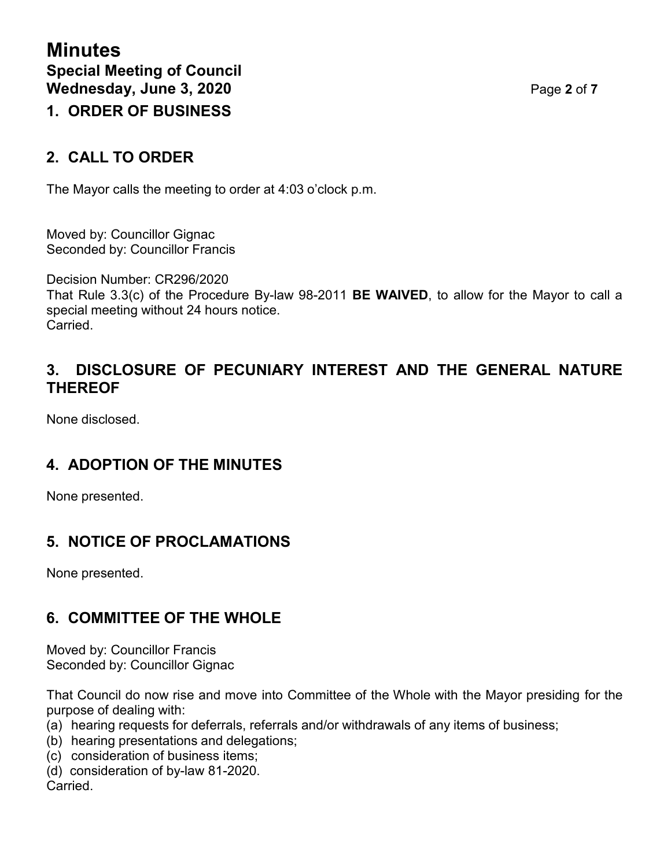# **2. CALL TO ORDER**

The Mayor calls the meeting to order at 4:03 o'clock p.m.

Moved by: Councillor Gignac Seconded by: Councillor Francis

Decision Number: CR296/2020 That Rule 3.3(c) of the Procedure By-law 98-2011 **BE WAIVED**, to allow for the Mayor to call a special meeting without 24 hours notice. Carried.

#### **3. DISCLOSURE OF PECUNIARY INTEREST AND THE GENERAL NATURE THEREOF**

None disclosed.

#### **4. ADOPTION OF THE MINUTES**

None presented.

#### **5. NOTICE OF PROCLAMATIONS**

None presented.

#### **6. COMMITTEE OF THE WHOLE**

Moved by: Councillor Francis Seconded by: Councillor Gignac

That Council do now rise and move into Committee of the Whole with the Mayor presiding for the purpose of dealing with:

- (a) hearing requests for deferrals, referrals and/or withdrawals of any items of business;
- (b) hearing presentations and delegations;
- (c) consideration of business items;
- (d) consideration of by-law 81-2020. Carried.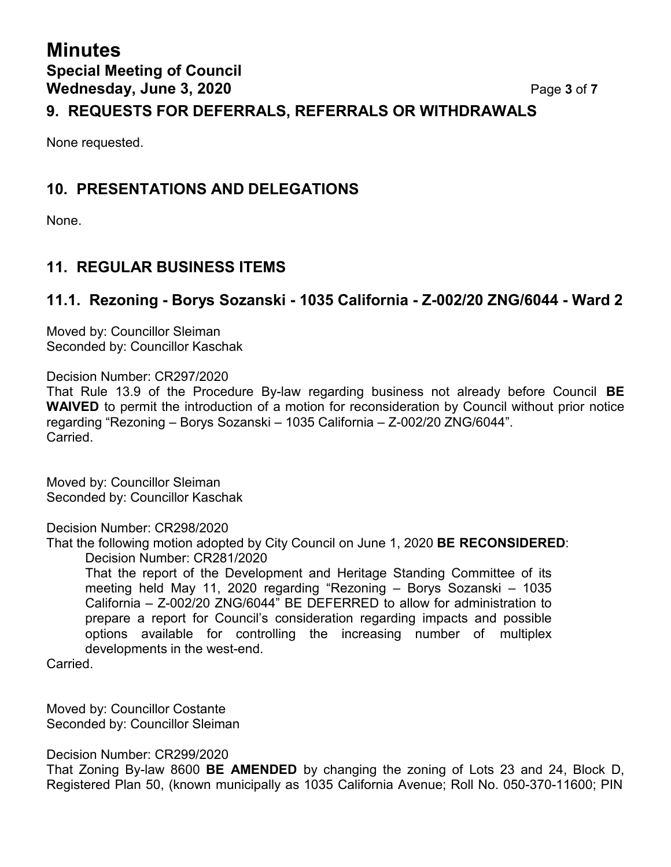# **Minutes Special Meeting of Council Wednesday, June 3, 2020** Page **3** of **7**

#### **9. REQUESTS FOR DEFERRALS, REFERRALS OR WITHDRAWALS**

None requested.

#### **10. PRESENTATIONS AND DELEGATIONS**

None.

### **11. REGULAR BUSINESS ITEMS**

#### **11.1. Rezoning - Borys Sozanski - 1035 California - Z-002/20 ZNG/6044 - Ward 2**

Moved by: Councillor Sleiman Seconded by: Councillor Kaschak

Decision Number: CR297/2020

That Rule 13.9 of the Procedure By-law regarding business not already before Council **BE WAIVED** to permit the introduction of a motion for reconsideration by Council without prior notice regarding "Rezoning – Borys Sozanski – 1035 California – Z-002/20 ZNG/6044". Carried.

Moved by: Councillor Sleiman Seconded by: Councillor Kaschak

Decision Number: CR298/2020

That the following motion adopted by City Council on June 1, 2020 **BE RECONSIDERED**: Decision Number: CR281/2020

That the report of the Development and Heritage Standing Committee of its meeting held May 11, 2020 regarding "Rezoning – Borys Sozanski – 1035 California – Z-002/20 ZNG/6044" BE DEFERRED to allow for administration to prepare a report for Council's consideration regarding impacts and possible options available for controlling the increasing number of multiplex developments in the west-end.

Carried.

Moved by: Councillor Costante Seconded by: Councillor Sleiman

Decision Number: CR299/2020

That Zoning By-law 8600 **BE AMENDED** by changing the zoning of Lots 23 and 24, Block D, Registered Plan 50, (known municipally as 1035 California Avenue; Roll No. 050-370-11600; PIN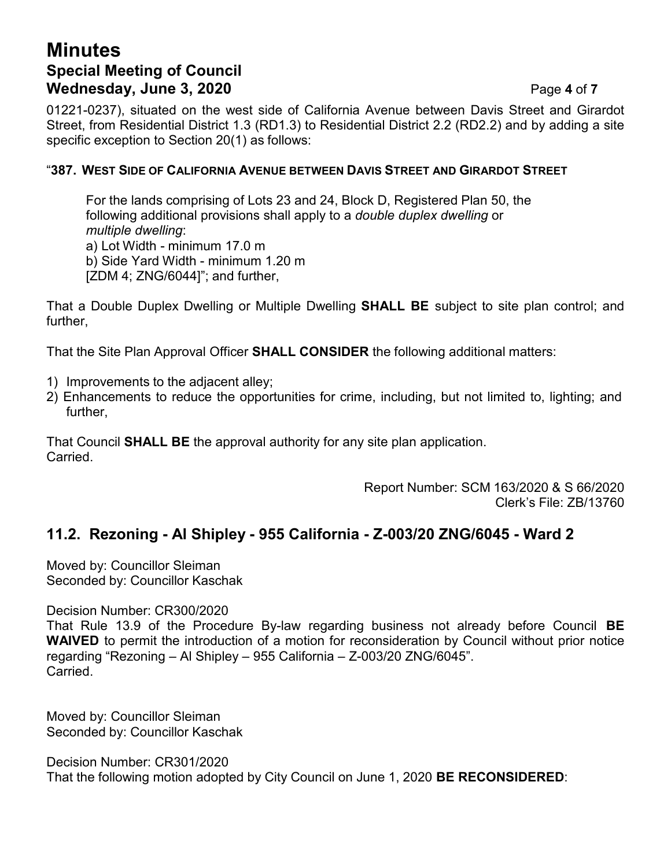# **Minutes Special Meeting of Council Wednesday, June 3, 2020** Page **4** of **7**

01221-0237), situated on the west side of California Avenue between Davis Street and Girardot Street, from Residential District 1.3 (RD1.3) to Residential District 2.2 (RD2.2) and by adding a site specific exception to Section 20(1) as follows:

#### "**387. WEST SIDE OF CALIFORNIA AVENUE BETWEEN DAVIS STREET AND GIRARDOT STREET**

For the lands comprising of Lots 23 and 24, Block D, Registered Plan 50, the following additional provisions shall apply to a *double duplex dwelling* or *multiple dwelling*: a) Lot Width - minimum 17.0 m b) Side Yard Width - minimum 1.20 m [ZDM 4; ZNG/6044]"; and further,

That a Double Duplex Dwelling or Multiple Dwelling **SHALL BE** subject to site plan control; and further,

That the Site Plan Approval Officer **SHALL CONSIDER** the following additional matters:

- 1) Improvements to the adjacent alley;
- 2) Enhancements to reduce the opportunities for crime, including, but not limited to, lighting; and further,

That Council **SHALL BE** the approval authority for any site plan application. **Carried** 

> Report Number: SCM 163/2020 & S 66/2020 Clerk's File: ZB/13760

#### **11.2. Rezoning - Al Shipley - 955 California - Z-003/20 ZNG/6045 - Ward 2**

Moved by: Councillor Sleiman Seconded by: Councillor Kaschak

Decision Number: CR300/2020

That Rule 13.9 of the Procedure By-law regarding business not already before Council **BE WAIVED** to permit the introduction of a motion for reconsideration by Council without prior notice regarding "Rezoning – Al Shipley – 955 California – Z-003/20 ZNG/6045". Carried.

Moved by: Councillor Sleiman Seconded by: Councillor Kaschak

Decision Number: CR301/2020 That the following motion adopted by City Council on June 1, 2020 **BE RECONSIDERED**: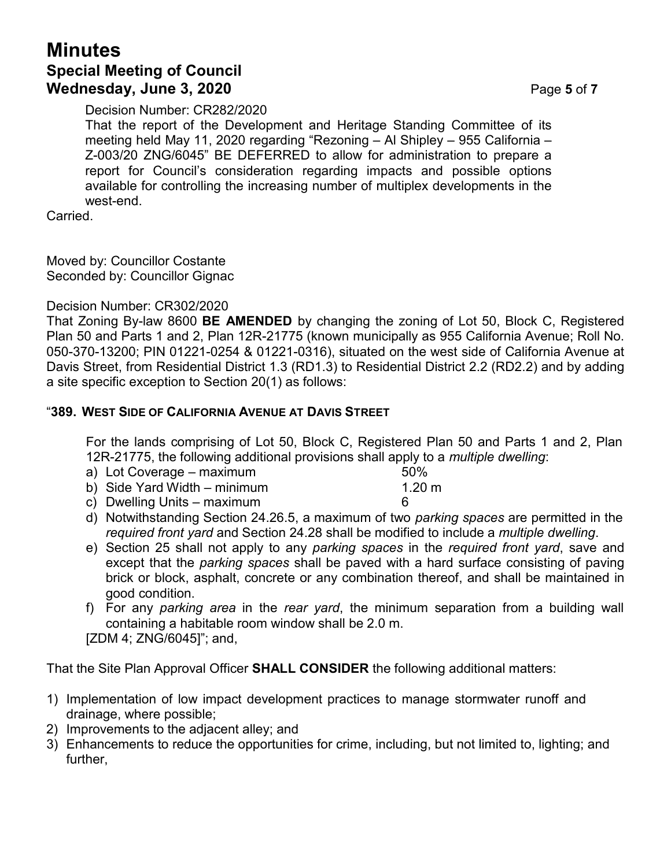### **Minutes Special Meeting of Council Wednesday, June 3, 2020** Page **5** of **7**

Decision Number: CR282/2020

That the report of the Development and Heritage Standing Committee of its meeting held May 11, 2020 regarding "Rezoning – Al Shipley – 955 California – Z-003/20 ZNG/6045" BE DEFERRED to allow for administration to prepare a report for Council's consideration regarding impacts and possible options available for controlling the increasing number of multiplex developments in the west-end.

Carried.

Moved by: Councillor Costante Seconded by: Councillor Gignac

Decision Number: CR302/2020

That Zoning By-law 8600 **BE AMENDED** by changing the zoning of Lot 50, Block C, Registered Plan 50 and Parts 1 and 2, Plan 12R-21775 (known municipally as 955 California Avenue; Roll No. 050-370-13200; PIN 01221-0254 & 01221-0316), situated on the west side of California Avenue at Davis Street, from Residential District 1.3 (RD1.3) to Residential District 2.2 (RD2.2) and by adding a site specific exception to Section 20(1) as follows:

#### "**389. WEST SIDE OF CALIFORNIA AVENUE AT DAVIS STREET**

For the lands comprising of Lot 50, Block C, Registered Plan 50 and Parts 1 and 2, Plan 12R-21775, the following additional provisions shall apply to a *multiple dwelling*:

- a) Lot Coverage maximum 50%
- b) Side Yard Width minimum 1.20 m
- c) Dwelling Units maximum 6
- d) Notwithstanding Section 24.26.5, a maximum of two *parking spaces* are permitted in the *required front yard* and Section 24.28 shall be modified to include a *multiple dwelling*.
- e) Section 25 shall not apply to any *parking spaces* in the *required front yard*, save and except that the *parking spaces* shall be paved with a hard surface consisting of paving brick or block, asphalt, concrete or any combination thereof, and shall be maintained in good condition.
- f) For any *parking area* in the *rear yard*, the minimum separation from a building wall containing a habitable room window shall be 2.0 m. [ZDM 4; ZNG/6045]"; and,

That the Site Plan Approval Officer **SHALL CONSIDER** the following additional matters:

- 1) Implementation of low impact development practices to manage stormwater runoff and drainage, where possible;
- 2) Improvements to the adjacent alley; and
- 3) Enhancements to reduce the opportunities for crime, including, but not limited to, lighting; and further,
- 
- 
- 
- 
-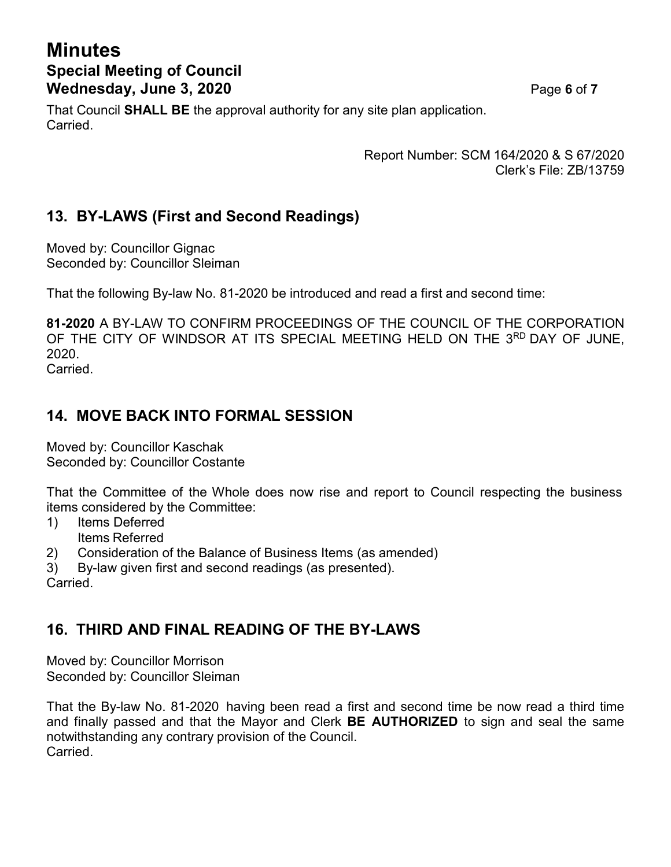# **Minutes Special Meeting of Council Wednesday, June 3, 2020** Page **6** of **7**

That Council **SHALL BE** the approval authority for any site plan application. Carried.

> Report Number: SCM 164/2020 & S 67/2020 Clerk's File: ZB/13759

#### **13. BY-LAWS (First and Second Readings)**

Moved by: Councillor Gignac Seconded by: Councillor Sleiman

That the following By-law No. 81-2020 be introduced and read a first and second time:

**81-2020** A BY-LAW TO CONFIRM PROCEEDINGS OF THE COUNCIL OF THE CORPORATION OF THE CITY OF WINDSOR AT ITS SPECIAL MEETING HELD ON THE 3RD DAY OF JUNE. 2020.

Carried.

#### **14. MOVE BACK INTO FORMAL SESSION**

Moved by: Councillor Kaschak Seconded by: Councillor Costante

That the Committee of the Whole does now rise and report to Council respecting the business items considered by the Committee:

- 1) Items Deferred Items Referred
- 2) Consideration of the Balance of Business Items (as amended)
- 3) By-law given first and second readings (as presented).

Carried.

#### **16. THIRD AND FINAL READING OF THE BY-LAWS**

Moved by: Councillor Morrison Seconded by: Councillor Sleiman

That the By-law No. 81-2020 having been read a first and second time be now read a third time and finally passed and that the Mayor and Clerk **BE AUTHORIZED** to sign and seal the same notwithstanding any contrary provision of the Council. Carried.